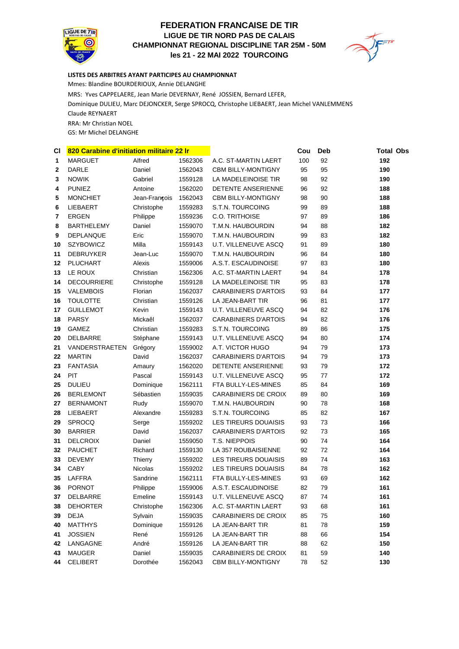

## **FEDERATION FRANCAISE DE TIR LIGUE DE TIR NORD PAS DE CALAIS CHAMPIONNAT REGIONAL DISCIPLINE TAR 25M - 50M les 21 - 22 MAI 2022 TOURCOING**



## **LISTES DES ARBITRES AYANT PARTICIPES AU CHAMPIONNAT**

Mmes: Blandine BOURDERIOUX, Annie DELANGHE

MRS: Yves CAPPELAERE, Jean Marie DEVERNAY, René JOSSIEN, Bernard LEFER,

Dominique DULIEU, Marc DEJONCKER, Serge SPROCQ, Christophe LIEBAERT, Jean Michel VANLEMMENS

Claude REYNAERT

RRA: Mr Christian NOEL

GS: Mr Michel DELANGHE

| <b>CI</b> | 820 Carabine d'initiation militaire 22 Ir |               |         | Cou                         | Deb | <b>Total Obs</b> |     |
|-----------|-------------------------------------------|---------------|---------|-----------------------------|-----|------------------|-----|
| 1         | <b>MARGUET</b>                            | Alfred        | 1562306 | A.C. ST-MARTIN LAERT        | 100 | 92               | 192 |
| 2         | <b>DARLE</b>                              | Daniel        | 1562043 | <b>CBM BILLY-MONTIGNY</b>   | 95  | 95               | 190 |
| 3         | <b>NOWIK</b>                              | Gabriel       | 1559128 | LA MADELEINOISE TIR         | 98  | 92               | 190 |
| 4         | <b>PUNIEZ</b>                             | Antoine       | 1562020 | DETENTE ANSERIENNE          | 96  | 92               | 188 |
| 5         | <b>MONCHIET</b>                           | Jean-François | 1562043 | <b>CBM BILLY-MONTIGNY</b>   | 98  | 90               | 188 |
| 6         | LIEBAERT                                  | Christophe    | 1559283 | S.T.N. TOURCOING            | 99  | 89               | 188 |
| 7         | <b>ERGEN</b>                              | Philippe      | 1559236 | <b>C.O. TRITHOISE</b>       | 97  | 89               | 186 |
| 8         | <b>BARTHELEMY</b>                         | Daniel        | 1559070 | T.M.N. HAUBOURDIN           | 94  | 88               | 182 |
| 9         | <b>DEPLANQUE</b>                          | Eric          | 1559070 | T.M.N. HAUBOURDIN           | 99  | 83               | 182 |
| 10        | SZYBOWICZ                                 | Milla         | 1559143 | U.T. VILLENEUVE ASCQ        | 91  | 89               | 180 |
| 11        | <b>DEBRUYKER</b>                          | Jean-Luc      | 1559070 | T.M.N. HAUBOURDIN           | 96  | 84               | 180 |
| 12        | <b>PLUCHART</b>                           | Alexis        | 1559006 | A.S.T. ESCAUDINOISE         | 97  | 83               | 180 |
| 13        | LE ROUX                                   | Christian     | 1562306 | A.C. ST-MARTIN LAERT        | 94  | 84               | 178 |
| 14        | <b>DECOURRIERE</b>                        | Christophe    | 1559128 | LA MADELEINOISE TIR         | 95  | 83               | 178 |
| 15        | <b>VALEMBOIS</b>                          | Florian       | 1562037 | <b>CARABINIERS D'ARTOIS</b> | 93  | 84               | 177 |
| 16        | <b>TOULOTTE</b>                           | Christian     | 1559126 | LA JEAN-BART TIR            | 96  | 81               | 177 |
| 17        | <b>GUILLEMOT</b>                          | Kevin         | 1559143 | U.T. VILLENEUVE ASCQ        | 94  | 82               | 176 |
| 18        | <b>PARSY</b>                              | Mickaêl       | 1562037 | <b>CARABINIERS D'ARTOIS</b> | 94  | 82               | 176 |
| 19        | GAMEZ                                     | Christian     | 1559283 | S.T.N. TOURCOING            | 89  | 86               | 175 |
| 20        | DELBARRE                                  | Stéphane      | 1559143 | <b>U.T. VILLENEUVE ASCQ</b> | 94  | 80               | 174 |
| 21        | VANDERSTRAETEN                            | Grégory       | 1559002 | A.T. VICTOR HUGO            | 94  | 79               | 173 |
| 22        | <b>MARTIN</b>                             | David         | 1562037 | <b>CARABINIERS D'ARTOIS</b> | 94  | 79               | 173 |
| 23        | <b>FANTASIA</b>                           | Amaury        | 1562020 | DETENTE ANSERIENNE          | 93  | 79               | 172 |
| 24        | PIT                                       | Pascal        | 1559143 | U.T. VILLENEUVE ASCQ        | 95  | 77               | 172 |
| 25        | <b>DULIEU</b>                             | Dominique     | 1562111 | FTA BULLY-LES-MINES         | 85  | 84               | 169 |
| 26        | <b>BERLEMONT</b>                          | Sébastien     | 1559035 | <b>CARABINIERS DE CROIX</b> | 89  | 80               | 169 |
| 27        | <b>BERNAMONT</b>                          | Rudy          | 1559070 | T.M.N. HAUBOURDIN           | 90  | 78               | 168 |
| 28        | LIEBAERT                                  | Alexandre     | 1559283 | S.T.N. TOURCOING            | 85  | 82               | 167 |
| 29        | <b>SPROCQ</b>                             | Serge         | 1559202 | LES TIREURS DOUAISIS        | 93  | 73               | 166 |
| 30        | <b>BARRIER</b>                            | David         | 1562037 | <b>CARABINIERS D'ARTOIS</b> | 92  | 73               | 165 |
| 31        | <b>DELCROIX</b>                           | Daniel        | 1559050 | T.S. NIEPPOIS               | 90  | 74               | 164 |
| 32        | <b>PAUCHET</b>                            | Richard       | 1559130 | LA 357 ROUBAISIENNE         | 92  | 72               | 164 |
| 33        | <b>DEVEMY</b>                             | Thierry       | 1559202 | LES TIREURS DOUAISIS        | 89  | 74               | 163 |
| 34        | <b>CABY</b>                               | Nicolas       | 1559202 | LES TIREURS DOUAISIS        | 84  | 78               | 162 |
| 35        | LAFFRA                                    | Sandrine      | 1562111 | FTA BULLY-LES-MINES         | 93  | 69               | 162 |
| 36        | <b>PORNOT</b>                             | Philippe      | 1559006 | A.S.T. ESCAUDINOISE         | 82  | 79               | 161 |
| 37        | DELBARRE                                  | Emeline       | 1559143 | <b>U.T. VILLENEUVE ASCQ</b> | 87  | 74               | 161 |
| 38        | <b>DEHORTER</b>                           | Christophe    | 1562306 | A.C. ST-MARTIN LAERT        | 93  | 68               | 161 |
| 39        | <b>DEJA</b>                               | Sylvain       | 1559035 | CARABINIERS DE CROIX        | 85  | 75               | 160 |
| 40        | <b>MATTHYS</b>                            | Dominique     | 1559126 | LA JEAN-BART TIR            | 81  | 78               | 159 |
| 41        | <b>JOSSIEN</b>                            | René          | 1559126 | LA JEAN-BART TIR            | 88  | 66               | 154 |
| 42        | LANGAGNE                                  | André         | 1559126 | LA JEAN-BART TIR            | 88  | 62               | 150 |
| 43        | <b>MAUGER</b>                             | Daniel        | 1559035 | <b>CARABINIERS DE CROIX</b> | 81  | 59               | 140 |
| 44        | <b>CELIBERT</b>                           | Dorothée      | 1562043 | CBM BILLY-MONTIGNY          | 78  | 52               | 130 |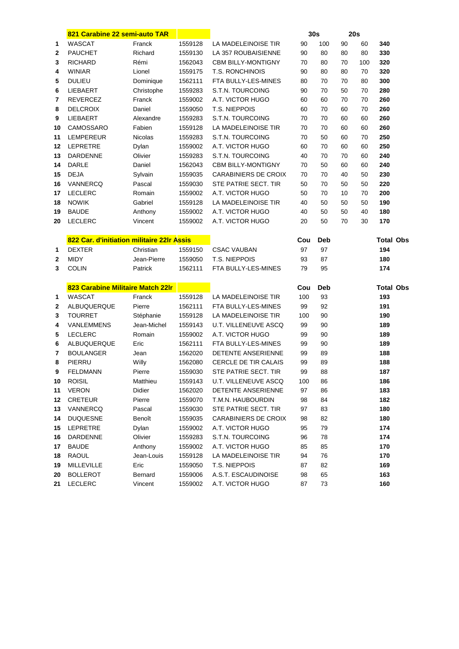|              | 821 Carabine 22 semi-auto TAR              |             |         |                             |     | 30s        |    | 20s |                  |
|--------------|--------------------------------------------|-------------|---------|-----------------------------|-----|------------|----|-----|------------------|
| 1            | <b>WASCAT</b>                              | Franck      | 1559128 | LA MADELEINOISE TIR         | 90  | 100        | 90 | 60  | 340              |
| 2            | <b>PAUCHET</b>                             | Richard     | 1559130 | LA 357 ROUBAISIENNE         | 90  | 80         | 80 | 80  | 330              |
| 3            | <b>RICHARD</b>                             | Rémi        | 1562043 | <b>CBM BILLY-MONTIGNY</b>   | 70  | 80         | 70 | 100 | 320              |
| 4            | <b>WINIAR</b>                              | Lionel      | 1559175 | <b>T.S. RONCHINOIS</b>      | 90  | 80         | 80 | 70  | 320              |
| 5            | <b>DULIEU</b>                              | Dominique   | 1562111 | FTA BULLY-LES-MINES         | 80  | 70         | 70 | 80  | 300              |
| 6            | <b>LIEBAERT</b>                            | Christophe  | 1559283 | S.T.N. TOURCOING            | 90  | 70         | 50 | 70  | 280              |
| 7            | <b>REVERCEZ</b>                            | Franck      | 1559002 | A.T. VICTOR HUGO            | 60  | 60         | 70 | 70  | 260              |
| 8            | <b>DELCROIX</b>                            | Daniel      | 1559050 | T.S. NIEPPOIS               |     | 70         | 60 | 70  | 260              |
| 9            | LIEBAERT                                   | Alexandre   | 1559283 | S.T.N. TOURCOING            | 70  | 70         | 60 | 60  | 260              |
| 10           | CAMOSSARO                                  | Fabien      | 1559128 | LA MADELEINOISE TIR         | 70  | 70         | 60 | 60  | 260              |
| 11           | <b>LEMPEREUR</b>                           | Nicolas     | 1559283 | S.T.N. TOURCOING            | 70  | 50         | 60 | 70  | 250              |
| 12           | LEPRETRE                                   | Dylan       | 1559002 | A.T. VICTOR HUGO            | 60  | 70         | 60 | 60  | 250              |
| 13           | <b>DARDENNE</b>                            | Olivier     | 1559283 | S.T.N. TOURCOING            | 40  | 70         | 70 | 60  | 240              |
| 14           | <b>DARLE</b>                               | Daniel      | 1562043 | <b>CBM BILLY-MONTIGNY</b>   | 70  | 50         | 60 | 60  | 240              |
| 15           | <b>DEJA</b>                                | Sylvain     | 1559035 | <b>CARABINIERS DE CROIX</b> | 70  | 70         | 40 | 50  | 230              |
| 16           | <b>VANNERCQ</b>                            | Pascal      | 1559030 | STE PATRIE SECT. TIR        | 50  | 70         | 50 | 50  | 220              |
| 17           | <b>LECLERC</b>                             | Romain      | 1559002 | A.T. VICTOR HUGO            | 50  | 70         | 10 | 70  | 200              |
| 18           | <b>NOWIK</b>                               | Gabriel     | 1559128 | LA MADELEINOISE TIR         | 40  | 50         | 50 | 50  | 190              |
| 19           | <b>BAUDE</b>                               | Anthony     | 1559002 | A.T. VICTOR HUGO            | 40  | 50         | 50 | 40  | 180              |
| 20           | <b>LECLERC</b>                             | Vincent     | 1559002 | A.T. VICTOR HUGO            | 20  | 50         | 70 | 30  | 170              |
|              |                                            |             |         |                             |     |            |    |     |                  |
|              | 822 Car. d'initiation militaire 22Ir Assis |             |         |                             | Cou | <b>Deb</b> |    |     | <b>Total Obs</b> |
| 1            | <b>DEXTER</b>                              | Christian   | 1559150 | 97<br><b>CSAC VAUBAN</b>    |     | 97         |    |     | 194              |
| $\mathbf{2}$ | <b>MIDY</b>                                | Jean-Pierre | 1559050 | 87<br>T.S. NIEPPOIS<br>93   |     |            |    | 180 |                  |
| 3            | <b>COLIN</b>                               | Patrick     | 1562111 | FTA BULLY-LES-MINES         | 79  | 95         |    | 174 |                  |
|              |                                            |             |         |                             |     |            |    |     |                  |
|              | 823 Carabine Militaire Match 22Ir          |             |         |                             | Cou | <b>Deb</b> |    |     | <b>Total Obs</b> |
| 1            | <b>WASCAT</b>                              | Franck      | 1559128 | LA MADELEINOISE TIR         | 100 | 93         |    |     | 193              |
| 2            | ALBUQUERQUE                                | Pierre      | 1562111 | FTA BULLY-LES-MINES         | 99  | 92         |    |     | 191              |
| 3            | <b>TOURRET</b>                             | Stéphanie   | 1559128 | LA MADELEINOISE TIR         | 100 | 90         |    |     | 190              |
| 4            | VANLEMMENS                                 | Jean-Michel | 1559143 | <b>U.T. VILLENEUVE ASCQ</b> | 99  | 90         |    |     | 189              |
| 5            | <b>LECLERC</b>                             | Romain      | 1559002 | A.T. VICTOR HUGO            | 99  | 90         |    |     | 189              |
| 6            | ALBUQUERQUE                                | Eric        | 1562111 | FTA BULLY-LES-MINES         | 99  | 90         |    |     | 189              |
| 7            | <b>BOULANGER</b>                           | Jean        | 1562020 | DETENTE ANSERIENNE          | 99  | 89         |    |     | 188              |
| 8            | PIERRU                                     | Willy       | 1562080 | CERCLE DE TIR CALAIS        | 99  | 89         |    |     | 188              |
| 9            | <b>FELDMANN</b>                            | Pierre      | 1559030 | STE PATRIE SECT. TIR        | 99  | 88         |    |     | 187              |
| 10           | <b>ROISIL</b>                              | Matthieu    | 1559143 | U.T. VILLENEUVE ASCQ        | 100 | 86         |    |     | 186              |
| 11           | <b>VERON</b>                               | Didier      | 1562020 | DETENTE ANSERIENNE          | 97  | 86         |    |     | 183              |
| 12           | <b>CRETEUR</b>                             | Pierre      | 1559070 | T.M.N. HAUBOURDIN           | 98  | 84         |    |     | 182              |
| 13           | VANNERCQ                                   | Pascal      | 1559030 | STE PATRIE SECT. TIR        | 97  | 83         |    |     | 180              |
| 14           | <b>DUQUESNE</b>                            | Benoît      | 1559035 | <b>CARABINIERS DE CROIX</b> | 98  | 82         |    |     | 180              |
| 15           | LEPRETRE                                   | Dylan       | 1559002 | A.T. VICTOR HUGO            | 95  | 79         |    |     | 174              |
| 16           | DARDENNE                                   | Olivier     | 1559283 | S.T.N. TOURCOING            | 96  | 78         |    |     | 174              |
| 17           | <b>BAUDE</b>                               | Anthony     | 1559002 | A.T. VICTOR HUGO            | 85  | 85         |    |     | 170              |
| 18           | <b>RAOUL</b>                               | Jean-Louis  | 1559128 | LA MADELEINOISE TIR         | 94  | 76         |    |     | 170              |
| 19           | MILLEVILLE                                 | Eric        | 1559050 | T.S. NIEPPOIS               | 87  | 82         |    |     | 169              |
| 20           | <b>BOLLEROT</b>                            | Bernard     | 1559006 | A.S.T. ESCAUDINOISE         | 98  | 65         |    |     | 163              |
| 21           | LECLERC                                    | Vincent     | 1559002 | A.T. VICTOR HUGO            | 87  | 73         |    |     | 160              |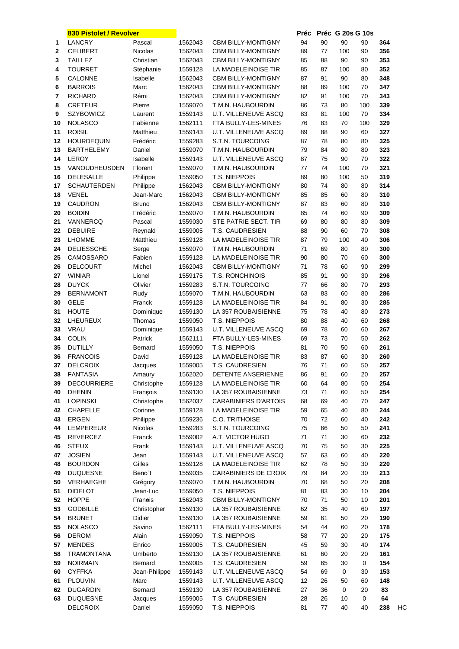|             | 830 Pistolet / Revolver            |                       |                    |                                              | Préc     |          | <b>Préc G 20s G 10s</b> |           |            |    |
|-------------|------------------------------------|-----------------------|--------------------|----------------------------------------------|----------|----------|-------------------------|-----------|------------|----|
| 1           | <b>LANCRY</b>                      | Pascal                | 1562043            | <b>CBM BILLY-MONTIGNY</b>                    | 94       | 90       | 90                      | 90        | 364        |    |
| $\mathbf 2$ | <b>CELIBERT</b>                    | <b>Nicolas</b>        | 1562043            | <b>CBM BILLY-MONTIGNY</b>                    | 89       | 77       | 100                     | 90        | 356        |    |
| 3           | <b>TAILLEZ</b>                     | Christian             | 1562043            | <b>CBM BILLY-MONTIGNY</b>                    | 85       | 88       | 90                      | 90        | 353        |    |
| 4           | <b>TOURRET</b>                     | Stéphanie             | 1559128            | LA MADELEINOISE TIR                          | 85       | 87       | 100                     | 80        | 352        |    |
| 5           | CALONNE                            | Isabelle              | 1562043            | <b>CBM BILLY-MONTIGNY</b>                    | 87       | 91       | 90                      | 80        | 348        |    |
| 6           | <b>BARROIS</b>                     | Marc                  | 1562043            | <b>CBM BILLY-MONTIGNY</b>                    | 88       | 89       | 100                     | 70        | 347        |    |
| 7           | <b>RICHARD</b>                     | Rémi                  | 1562043            | <b>CBM BILLY-MONTIGNY</b>                    | 82       | 91       | 100                     | 70        | 343        |    |
| 8           | <b>CRETEUR</b>                     | Pierre                | 1559070            | T.M.N. HAUBOURDIN                            | 86       | 73       | 80                      | 100       | 339        |    |
| 9           | <b>SZYBOWICZ</b>                   | Laurent               | 1559143            | <b>U.T. VILLENEUVE ASCQ</b>                  | 83       | 81       | 100                     | 70        | 334        |    |
| 10          | <b>NOLASCO</b>                     | Fabienne              | 1562111            | FTA BULLY-LES-MINES                          | 76       | 83       | 70                      | 100       | 329        |    |
| 11<br>12    | <b>ROISIL</b><br><b>HOURDEQUIN</b> | Matthieu<br>Frédéric  | 1559143<br>1559283 | U.T. VILLENEUVE ASCQ<br>S.T.N. TOURCOING     | 89<br>87 | 88<br>78 | 90<br>80                | 60<br>80  | 327<br>325 |    |
| 13          | <b>BARTHELEMY</b>                  | Daniel                | 1559070            | T.M.N. HAUBOURDIN                            | 79       | 84       | 80                      | 80        | 323        |    |
| 14          | LEROY                              | Isabelle              | 1559143            | <b>U.T. VILLENEUVE ASCQ</b>                  | 87       | 75       | 90                      | 70        | 322        |    |
| 15          | VANOUDHEUSDEN                      | Florent               | 1559070            | T.M.N. HAUBOURDIN                            | 77       | 74       | 100                     | 70        | 321        |    |
| 16          | <b>DELESALLE</b>                   | Philippe              | 1559050            | T.S. NIEPPOIS                                | 89       | 80       | 100                     | 50        | 319        |    |
| 17          | <b>SCHAUTERDEN</b>                 | Philippe              | 1562043            | <b>CBM BILLY-MONTIGNY</b>                    | 80       | 74       | 80                      | 80        | 314        |    |
| 18          | <b>VENEL</b>                       | Jean-Marc             | 1562043            | <b>CBM BILLY-MONTIGNY</b>                    | 85       | 85       | 60                      | 80        | 310        |    |
| 19          | <b>CAUDRON</b>                     | <b>Bruno</b>          | 1562043            | <b>CBM BILLY-MONTIGNY</b>                    | 87       | 83       | 60                      | 80        | 310        |    |
| 20          | <b>BOIDIN</b>                      | Frédéric              | 1559070            | T.M.N. HAUBOURDIN                            | 85       | 74       | 60                      | 90        | 309        |    |
| 21          | VANNERCQ                           | Pascal                | 1559030            | STE PATRIE SECT. TIR                         | 69       | 80       | 80                      | 80        | 309        |    |
| 22          | <b>DEBUIRE</b>                     | Reynald               | 1559005            | T.S. CAUDRESIEN                              | 88       | 90       | 60                      | 70        | 308        |    |
| 23          | <b>LHOMME</b>                      | Matthieu              | 1559128            | LA MADELEINOISE TIR                          | 87       | 79       | 100                     | 40        | 306        |    |
| 24          | <b>DELIESSCHE</b>                  | Serge                 | 1559070            | T.M.N. HAUBOURDIN                            | 71       | 69       | 80                      | 80        | 300        |    |
| 25          | CAMOSSARO                          | Fabien                | 1559128            | LA MADELEINOISE TIR                          | 90       | 80       | 70                      | 60        | 300        |    |
| 26          | <b>DELCOURT</b>                    | Michel                | 1562043            | <b>CBM BILLY-MONTIGNY</b>                    | 71       | 78       | 60                      | 90        | 299        |    |
| 27          | <b>WINIAR</b>                      | Lionel                | 1559175            | <b>T.S. RONCHINOIS</b>                       | 85       | 91       | 90                      | 30        | 296        |    |
| 28          | <b>DUYCK</b>                       | Olivier               | 1559283            | S.T.N. TOURCOING                             | 77       | 66       | 80                      | 70        | 293        |    |
| 29          | <b>BERNAMONT</b>                   | Rudy                  | 1559070            | T.M.N. HAUBOURDIN                            | 63       | 83       | 60                      | 80        | 286        |    |
| 30          | <b>GELE</b>                        | Franck                | 1559128            | LA MADELEINOISE TIR                          | 84       | 91       | 80                      | 30        | 285        |    |
| 31          | <b>HOUTE</b>                       | Dominique             | 1559130            | LA 357 ROUBAISIENNE                          | 75       | 78       | 40                      | 80        | 273        |    |
| 32          | LHEUREUX<br><b>VRAU</b>            | Thomas                | 1559050            | T.S. NIEPPOIS<br><b>U.T. VILLENEUVE ASCQ</b> | 80<br>69 | 88<br>78 | 40                      | 60        | 268        |    |
| 33<br>34    | <b>COLIN</b>                       | Dominique<br>Patrick  | 1559143<br>1562111 | FTA BULLY-LES-MINES                          | 69       | 73       | 60<br>70                | 60<br>50  | 267<br>262 |    |
| 35          | <b>DUTILLY</b>                     | Bernard               | 1559050            | T.S. NIEPPOIS                                | 81       | 70       | 50                      | 60        | 261        |    |
| 36          | <b>FRANCOIS</b>                    | David                 | 1559128            | LA MADELEINOISE TIR                          | 83       | 87       | 60                      | 30        | 260        |    |
| 37          | <b>DELCROIX</b>                    | Jacques               | 1559005            | T.S. CAUDRESIEN                              | 76       | 71       | 60                      | 50        | 257        |    |
| 38          | <b>FANTASIA</b>                    | Amaury                | 1562020            | DETENTE ANSERIENNE                           | 86       | 91       | 60                      | 20        | 257        |    |
| 39          | <b>DECOURRIERE</b>                 | Christophe            | 1559128            | LA MADELEINOISE TIR                          | 60       | 64       | 80                      | 50        | 254        |    |
| 40          | <b>DHENIN</b>                      | Francois              | 1559130            | LA 357 ROUBAISIENNE                          | 73       | 71       | 60                      | 50        | 254        |    |
| 41          | <b>LOPINSKI</b>                    | Christophe            | 1562037            | <b>CARABINIERS D'ARTOIS</b>                  | 68       | 69       | 40                      | 70        | 247        |    |
| 42          | <b>CHAPELLE</b>                    | Corinne               | 1559128            | LA MADELEINOISE TIR                          | 59       | 65       | 40                      | 80        | 244        |    |
| 43          | <b>ERGEN</b>                       | Philippe              | 1559236            | <b>C.O. TRITHOISE</b>                        | 70       | 72       | 60                      | 40        | 242        |    |
| 44          | <b>LEMPEREUR</b>                   | Nicolas               | 1559283            | S.T.N. TOURCOING                             | 75       | 66       | 50                      | 50        | 241        |    |
| 45          | <b>REVERCEZ</b>                    | Franck                | 1559002            | A.T. VICTOR HUGO                             | 71       | 71       | 30                      | 60        | 232        |    |
| 46          | <b>STEUX</b>                       | Frank                 | 1559143            | <b>U.T. VILLENEUVE ASCQ</b>                  | 70       | 75       | 50                      | 30        | 225        |    |
| 47          | <b>JOSIEN</b>                      | Jean                  | 1559143            | U.T. VILLENEUVE ASCQ                         | 57       | 63       | 60                      | 40        | 220        |    |
| 48          | <b>BOURDON</b>                     | Gilles                | 1559128            | LA MADELEINOISE TIR                          | 62       | 78       | 50                      | 30        | 220        |    |
| 49          | <b>DUQUESNE</b>                    | Beno"t                | 1559035            | CARABINIERS DE CROIX                         | 79       | 84       | 20                      | 30        | 213        |    |
| 50          | VERHAEGHE                          | Grégory               | 1559070            | T.M.N. HAUBOURDIN                            | 70       | 68       | 50                      | 20        | 208        |    |
| 51          | <b>DIDELOT</b>                     | Jean-Luc              | 1559050            | T.S. NIEPPOIS                                | 81       | 83       | 30                      | 10        | 204        |    |
| 52          | <b>HOPPE</b>                       | Franois               | 1562043            | <b>CBM BILLY-MONTIGNY</b>                    | 70<br>62 | 71<br>35 | 50                      | 10        | 201        |    |
| 53          | <b>GODBILLE</b><br><b>BRUNET</b>   | Christopher<br>Didier | 1559130<br>1559130 | LA 357 ROUBAISIENNE<br>LA 357 ROUBAISIENNE   | 59       | 61       | 40<br>50                | 60<br>20  | 197<br>190 |    |
| 54<br>55    | <b>NOLASCO</b>                     | Savino                | 1562111            | FTA BULLY-LES-MINES                          | 54       | 44       | 60                      | 20        | 178        |    |
| 56          | <b>DEROM</b>                       | Alain                 | 1559050            | T.S. NIEPPOIS                                | 58       | 77       | 20                      | 20        | 175        |    |
| 57          | <b>MENDES</b>                      | Enrico                | 1559005            | T.S. CAUDRESIEN                              | 45       | 59       | 30                      | 40        | 174        |    |
| 58          | <b>TRAMONTANA</b>                  | Umberto               | 1559130            | LA 357 ROUBAISIENNE                          | 61       | 60       | 20                      | 20        | 161        |    |
| 59          | <b>NOIRMAIN</b>                    | Bernard               | 1559005            | T.S. CAUDRESIEN                              | 59       | 65       | 30                      | $\pmb{0}$ | 154        |    |
| 60          | <b>CYFFKA</b>                      | Jean-Philippe         | 1559143            | U.T. VILLENEUVE ASCQ                         | 54       | 69       | 0                       | 30        | 153        |    |
| 61          | <b>PLOUVIN</b>                     | Marc                  | 1559143            | U.T. VILLENEUVE ASCQ                         | 12       | 26       | 50                      | 60        | 148        |    |
| 62          | <b>DUGARDIN</b>                    | Bernard               | 1559130            | LA 357 ROUBAISIENNE                          | 27       | 36       | 0                       | 20        | 83         |    |
| 63          | <b>DUQUESNE</b>                    | Jacques               | 1559005            | T.S. CAUDRESIEN                              | 28       | 26       | 10                      | 0         | 64         |    |
|             | <b>DELCROIX</b>                    | Daniel                | 1559050            | T.S. NIEPPOIS                                | 81       | 77       | 40                      | 40        | 238        | HC |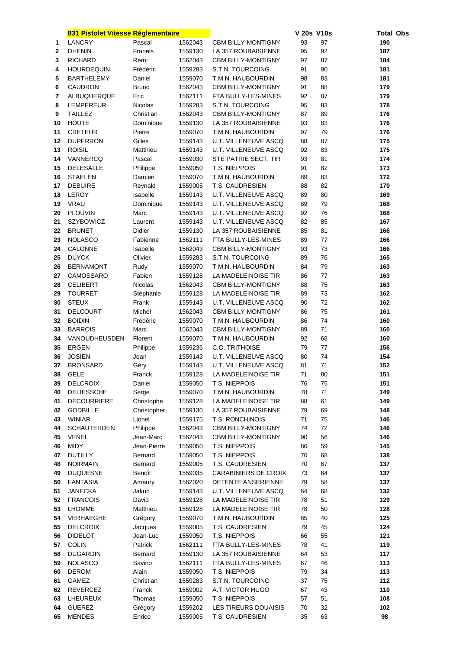|              | 831 Pistolet Vitesse Réglementaire |                |         |                             | V 20s V10s |    | <b>Total Obs</b> |
|--------------|------------------------------------|----------------|---------|-----------------------------|------------|----|------------------|
| 1            | <b>LANCRY</b>                      | Pascal         | 1562043 | <b>CBM BILLY-MONTIGNY</b>   | 93         | 97 | 190              |
| $\mathbf{2}$ | <b>DHENIN</b>                      | Franois        | 1559130 | LA 357 ROUBAISIENNE         | 95         | 92 | 187              |
| 3            | <b>RICHARD</b>                     | Rémi           | 1562043 | <b>CBM BILLY-MONTIGNY</b>   | 97         | 87 | 184              |
| 4            | <b>HOURDEQUIN</b>                  | Frédéric       | 1559283 | S.T.N. TOURCOING            | 91         | 90 | 181              |
| 5            | <b>BARTHELEMY</b>                  | Daniel         | 1559070 | T.M.N. HAUBOURDIN           | 98         | 83 | 181              |
| 6            | <b>CAUDRON</b>                     | <b>Bruno</b>   | 1562043 | <b>CBM BILLY-MONTIGNY</b>   | 91         | 88 | 179              |
| 7            | ALBUQUERQUE                        | Eric           | 1562111 | FTA BULLY-LES-MINES         | 92         | 87 | 179              |
| 8            | <b>LEMPEREUR</b>                   | <b>Nicolas</b> | 1559283 | S.T.N. TOURCOING            | 95         | 83 | 178              |
| 9            | <b>TAILLEZ</b>                     | Christian      | 1562043 | <b>CBM BILLY-MONTIGNY</b>   | 87         | 89 | 176              |
| 10           | <b>HOUTE</b>                       | Dominique      | 1559130 | LA 357 ROUBAISIENNE         | 93         | 83 | 176              |
| 11           | <b>CRETEUR</b>                     | Pierre         | 1559070 | T.M.N. HAUBOURDIN           | 97         | 79 | 176              |
| 12           | <b>DUPERRON</b>                    | Gilles         | 1559143 | U.T. VILLENEUVE ASCQ        | 88         | 87 | 175              |
| 13           | <b>ROISIL</b>                      | Matthieu       | 1559143 | U.T. VILLENEUVE ASCQ        | 92         | 83 | 175              |
| 14           | VANNERCQ                           | Pascal         | 1559030 | STE PATRIE SECT. TIR        | 93         | 81 | 174              |
| 15           | <b>DELESALLE</b>                   | Philippe       | 1559050 | <b>T.S. NIEPPOIS</b>        | 91         | 82 | 173              |
| 16           | <b>STAELEN</b>                     | Damien         | 1559070 | T.M.N. HAUBOURDIN           | 89         | 83 | 172              |
| 17           | <b>DEBUIRE</b>                     | Reynald        | 1559005 | T.S. CAUDRESIEN             | 88         | 82 | 170              |
| 18           | <b>LEROY</b>                       | Isabelle       | 1559143 | U.T. VILLENEUVE ASCQ        | 89         | 80 | 169              |
| 19           | <b>VRAU</b>                        | Dominique      | 1559143 | U.T. VILLENEUVE ASCQ        | 89         | 79 | 168              |
| 20           | <b>PLOUVIN</b>                     | Marc           | 1559143 | <b>U.T. VILLENEUVE ASCQ</b> | 92         | 76 | 168              |
| 21           | SZYBOWICZ                          | Laurent        | 1559143 | <b>U.T. VILLENEUVE ASCQ</b> | 82         | 85 | 167              |
| 22           | <b>BRUNET</b>                      | Didier         | 1559130 | LA 357 ROUBAISIENNE         | 85         | 81 | 166              |
| 23           | <b>NOLASCO</b>                     | Fabienne       | 1562111 | FTA BULLY-LES-MINES         | 89         | 77 | 166              |
| 24           | CALONNE                            | Isabelle       | 1562043 | <b>CBM BILLY-MONTIGNY</b>   | 93         | 73 | 166              |
| 25           | <b>DUYCK</b>                       | Olivier        | 1559283 | S.T.N. TOURCOING            | 89         | 76 | 165              |
| 26           | <b>BERNAMONT</b>                   | Rudy           | 1559070 | T.M.N. HAUBOURDIN           | 84         | 79 | 163              |
| 27           | CAMOSSARO                          | Fabien         | 1559128 | LA MADELEINOISE TIR         | 86         | 77 | 163              |
| 28           | <b>CELIBERT</b>                    | Nicolas        | 1562043 | <b>CBM BILLY-MONTIGNY</b>   | 88         | 75 | 163              |
| 29           | <b>TOURRET</b>                     | Stéphanie      | 1559128 | LA MADELEINOISE TIR         | 89         | 73 | 162              |
| 30           | <b>STEUX</b>                       | Frank          | 1559143 | U.T. VILLENEUVE ASCQ        | 90         | 72 | 162              |
| 31           | <b>DELCOURT</b>                    | Michel         | 1562043 | <b>CBM BILLY-MONTIGNY</b>   | 86         | 75 | 161              |
| 32           | <b>BOIDIN</b>                      | Frédéric       | 1559070 | T.M.N. HAUBOURDIN           | 86         | 74 | 160              |
| 33           | <b>BARROIS</b>                     | Marc           | 1562043 | <b>CBM BILLY-MONTIGNY</b>   | 89         | 71 | 160              |
| 34           | VANOUDHEUSDEN                      | Florent        | 1559070 | T.M.N. HAUBOURDIN           | 92         | 68 | 160              |
| 35           | ERGEN                              | Philippe       | 1559236 | <b>C.O. TRITHOISE</b>       | 79         | 77 | 156              |
| 36           | <b>JOSIEN</b>                      | Jean           | 1559143 | U.T. VILLENEUVE ASCQ        | 80         | 74 | 154              |
| 37           | <b>BRONSARD</b>                    | Géry           | 1559143 | <b>U.T. VILLENEUVE ASCQ</b> | 81         | 71 | 152              |
| 38           | GELE                               | Franck         | 1559128 | LA MADELEINOISE TIR         | 71         | 80 | 151              |
| 39           | <b>DELCROIX</b>                    | Daniel         | 1559050 | T.S. NIEPPOIS               | 76         | 75 | 151              |
| 40           | <b>DELIESSCHE</b>                  | Serge          | 1559070 | T.M.N. HAUBOURDIN           | 78         | 71 | 149              |
| 41           | <b>DECOURRIERE</b>                 | Christophe     | 1559128 | LA MADELEINOISE TIR         | 88         | 61 | 149              |
| 42           | <b>GODBILLE</b>                    | Christopher    | 1559130 | LA 357 ROUBAISIENNE         | 79         | 69 | 148              |
| 43           | <b>WINIAR</b>                      | Lionel         | 1559175 | T.S. RONCHINOIS             | 71         | 75 | 146              |
| 44           | <b>SCHAUTERDEN</b>                 | Philippe       | 1562043 | <b>CBM BILLY-MONTIGNY</b>   | 74         | 72 | 146              |
| 45           | <b>VENEL</b>                       | Jean-Marc      | 1562043 | <b>CBM BILLY-MONTIGNY</b>   | 90         | 56 | 146              |
| 46           | <b>MIDY</b>                        | Jean-Pierre    | 1559050 | T.S. NIEPPOIS               | 86         | 59 | 145              |
| 47           | <b>DUTILLY</b>                     | Bernard        | 1559050 | T.S. NIEPPOIS               | 70         | 68 | 138              |
| 48           | <b>NOIRMAIN</b>                    | Bernard        | 1559005 | T.S. CAUDRESIEN             | 70         | 67 | 137              |
| 49           | <b>DUQUESNE</b>                    | Benoît         | 1559035 | <b>CARABINIERS DE CROIX</b> | 73         | 64 | 137              |
| 50           | <b>FANTASIA</b>                    | Amaury         | 1562020 | DETENTE ANSERIENNE          | 79         | 58 | 137              |
| 51           | <b>JANECKA</b>                     | Jakub          | 1559143 | U.T. VILLENEUVE ASCQ        | 64         | 68 | 132              |
| 52           | <b>FRANCOIS</b>                    | David          | 1559128 | LA MADELEINOISE TIR         | 78         | 51 | 129              |
| 53           | <b>LHOMME</b>                      | Matthieu       | 1559128 | LA MADELEINOISE TIR         | 78         | 50 | 128              |
| 54           | VERHAEGHE                          | Grégory        | 1559070 | T.M.N. HAUBOURDIN           | 85         | 40 | 125              |
| 55           | <b>DELCROIX</b>                    | Jacques        | 1559005 | T.S. CAUDRESIEN             | 79         | 45 | 124              |
| 56           | <b>DIDELOT</b>                     | Jean-Luc       | 1559050 | T.S. NIEPPOIS               | 66         | 55 | 121              |
| 57           | <b>COLIN</b>                       | Patrick        | 1562111 | FTA BULLY-LES-MINES         | 78         | 41 | 119              |
| 58           | <b>DUGARDIN</b>                    | Bernard        | 1559130 | LA 357 ROUBAISIENNE         | 64         | 53 | 117              |
| 59           | <b>NOLASCO</b>                     | Savino         | 1562111 | FTA BULLY-LES-MINES         | 67         | 46 | 113              |
| 60           | <b>DEROM</b>                       | Alain          | 1559050 | T.S. NIEPPOIS               | 79         | 34 | 113              |
| 61           | GAMEZ                              | Christian      | 1559283 | S.T.N. TOURCOING            | 37         | 75 | 112              |
| 62           | <b>REVERCEZ</b>                    | Franck         | 1559002 | A.T. VICTOR HUGO            | 67         | 43 | 110              |
| 63           | LHEUREUX                           | Thomas         | 1559050 | T.S. NIEPPOIS               | 57         | 51 | 108              |
| 64           | <b>GUEREZ</b>                      | Grégory        | 1559202 | LES TIREURS DOUAISIS        | 70         | 32 | 102              |
| 65           | <b>MENDES</b>                      | Enrico         | 1559005 | T.S. CAUDRESIEN             | 35         | 63 | 98               |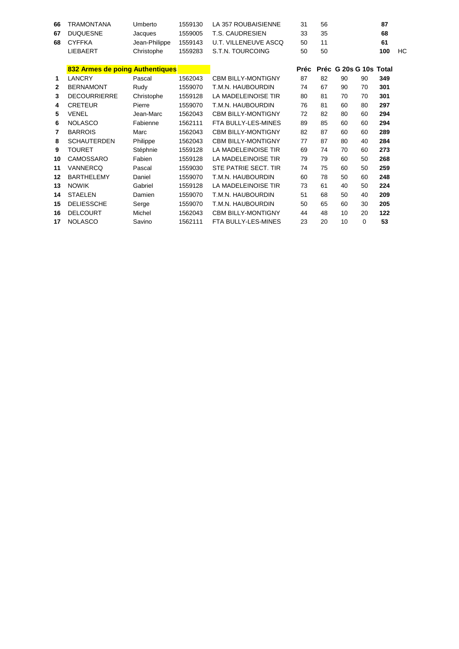| 66<br>67<br>68 | TRAMONTANA<br><b>DUQUESNE</b><br><b>CYFFKA</b> | Umberto<br>Jacques<br>Jean-Philippe | 1559130<br>1559005<br>1559143 | LA 357 ROUBAISIENNE<br><b>T.S. CAUDRESIEN</b><br><b>U.T. VILLENEUVE ASCO</b> | 31<br>33<br>50 | 56<br>35<br>11 |                        |          | 87<br>68<br>61 |    |
|----------------|------------------------------------------------|-------------------------------------|-------------------------------|------------------------------------------------------------------------------|----------------|----------------|------------------------|----------|----------------|----|
|                | LIEBAERT                                       | Christophe                          | 1559283                       | S.T.N. TOURCOING                                                             | 50             | 50             |                        |          | 100            | HC |
|                | 832 Armes de poing Authentiques                |                                     |                               |                                                                              | <b>Préc</b>    |                | Préc G 20s G 10s Total |          |                |    |
| 1              | LANCRY                                         | Pascal                              | 1562043                       | <b>CBM BILLY-MONTIGNY</b>                                                    | 87             | 82             | 90                     | 90       | 349            |    |
| $\mathbf{2}$   | <b>BERNAMONT</b>                               | Rudy                                | 1559070                       | T.M.N. HAUBOURDIN                                                            | 74             | 67             | 90                     | 70       | 301            |    |
| 3              | <b>DECOURRIERRE</b>                            | Christophe                          | 1559128                       | LA MADELEINOISE TIR                                                          | 80             | 81             | 70                     | 70       | 301            |    |
| 4              | <b>CRETEUR</b>                                 | Pierre                              | 1559070                       | T.M.N. HAUBOURDIN                                                            | 76             | 81             | 60                     | 80       | 297            |    |
| 5              | VENEL                                          | Jean-Marc                           | 1562043                       | <b>CBM BILLY-MONTIGNY</b>                                                    | 72             | 82             | 80                     | 60       | 294            |    |
| 6              | <b>NOLASCO</b>                                 | Fabienne                            | 1562111                       | FTA BULLY-LES-MINES                                                          | 89             | 85             | 60                     | 60       | 294            |    |
| 7              | <b>BARROIS</b>                                 | Marc                                | 1562043                       | <b>CBM BILLY-MONTIGNY</b>                                                    | 82             | 87             | 60                     | 60       | 289            |    |
| 8              | <b>SCHAUTERDEN</b>                             | Philippe                            | 1562043                       | <b>CBM BILLY-MONTIGNY</b>                                                    | 77             | 87             | 80                     | 40       | 284            |    |
| 9              | <b>TOURET</b>                                  | Stéphnie                            | 1559128                       | LA MADELEINOISE TIR                                                          | 69             | 74             | 70                     | 60       | 273            |    |
| 10             | CAMOSSARO                                      | Fabien                              | 1559128                       | LA MADELEINOISE TIR                                                          | 79             | 79             | 60                     | 50       | 268            |    |
| 11             | VANNERCO                                       | Pascal                              | 1559030                       | STE PATRIE SECT. TIR                                                         | 74             | 75             | 60                     | 50       | 259            |    |
| 12             | <b>BARTHELEMY</b>                              | Daniel                              | 1559070                       | T.M.N. HAUBOURDIN                                                            | 60             | 78             | 50                     | 60       | 248            |    |
| 13             | <b>NOWIK</b>                                   | Gabriel                             | 1559128                       | LA MADELEINOISE TIR                                                          | 73             | 61             | 40                     | 50       | 224            |    |
| 14             | <b>STAELEN</b>                                 | Damien                              | 1559070                       | T.M.N. HAUBOURDIN                                                            | 51             | 68             | 50                     | 40       | 209            |    |
| 15             | <b>DELIESSCHE</b>                              | Serge                               | 1559070                       | T.M.N. HAUBOURDIN                                                            | 50             | 65             | 60                     | 30       | 205            |    |
| 16             | <b>DELCOURT</b>                                | Michel                              | 1562043                       | <b>CBM BILLY-MONTIGNY</b>                                                    | 44             | 48             | 10                     | 20       | 122            |    |
| 17             | <b>NOLASCO</b>                                 | Savino                              | 1562111                       | FTA BULLY-LES-MINES                                                          | 23             | 20             | 10                     | $\Omega$ | 53             |    |